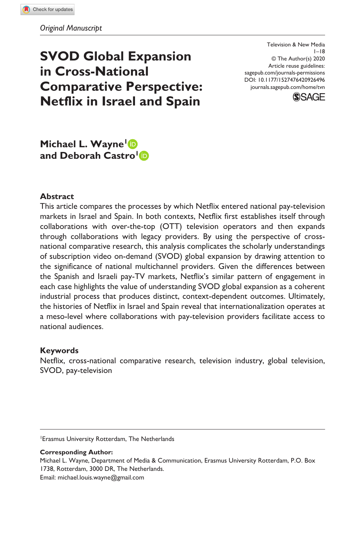# **SVOD Global Expansion in Cross-National Comparative Perspective: Netflix in Israel and Spain**

DOI: 10.1177/1527476420926496 Television & New Media  $1 - 18$ © The Author(s) 2020 Article reuse guidelines: [sagepub.com/journals-permissions](https://us.sagepub.com/en-us/journals-permissions) [journals.sagepub.com/home/tvn](https://journals.sagepub.com/home/tvn)



## **Michael L. Wayne1 and Deborah Castro<sup>1</sup>D**

#### **Abstract**

This article compares the processes by which Netflix entered national pay-television markets in Israel and Spain. In both contexts, Netflix first establishes itself through collaborations with over-the-top (OTT) television operators and then expands through collaborations with legacy providers. By using the perspective of crossnational comparative research, this analysis complicates the scholarly understandings of subscription video on-demand (SVOD) global expansion by drawing attention to the significance of national multichannel providers. Given the differences between the Spanish and Israeli pay-TV markets, Netflix's similar pattern of engagement in each case highlights the value of understanding SVOD global expansion as a coherent industrial process that produces distinct, context-dependent outcomes. Ultimately, the histories of Netflix in Israel and Spain reveal that internationalization operates at a meso-level where collaborations with pay-television providers facilitate access to national audiences.

#### **Keywords**

Netflix, cross-national comparative research, television industry, global television, SVOD, pay-television

1 Erasmus University Rotterdam, The Netherlands

#### **Corresponding Author:**

Michael L. Wayne, Department of Media & Communication, Erasmus University Rotterdam, P.O. Box 1738, Rotterdam, 3000 DR, The Netherlands. Email: [michael.louis.wayne@gmail.com](mailto:michael.louis.wayne@gmail.com)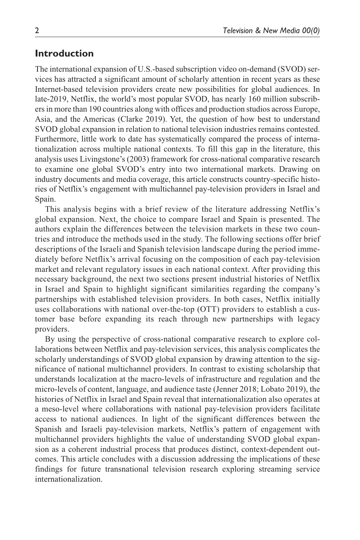### **Introduction**

The international expansion of U.S.-based subscription video on-demand (SVOD) services has attracted a significant amount of scholarly attention in recent years as these Internet-based television providers create new possibilities for global audiences. In late-2019, Netflix, the world's most popular SVOD, has nearly 160 million subscribers in more than 190 countries along with offices and production studios across Europe, Asia, and the Americas (Clarke 2019). Yet, the question of how best to understand SVOD global expansion in relation to national television industries remains contested. Furthermore, little work to date has systematically compared the process of internationalization across multiple national contexts. To fill this gap in the literature, this analysis uses Livingstone's (2003) framework for cross-national comparative research to examine one global SVOD's entry into two international markets. Drawing on industry documents and media coverage, this article constructs country-specific histories of Netflix's engagement with multichannel pay-television providers in Israel and Spain.

This analysis begins with a brief review of the literature addressing Netflix's global expansion. Next, the choice to compare Israel and Spain is presented. The authors explain the differences between the television markets in these two countries and introduce the methods used in the study. The following sections offer brief descriptions of the Israeli and Spanish television landscape during the period immediately before Netflix's arrival focusing on the composition of each pay-television market and relevant regulatory issues in each national context. After providing this necessary background, the next two sections present industrial histories of Netflix in Israel and Spain to highlight significant similarities regarding the company's partnerships with established television providers. In both cases, Netflix initially uses collaborations with national over-the-top (OTT) providers to establish a customer base before expanding its reach through new partnerships with legacy providers.

By using the perspective of cross-national comparative research to explore collaborations between Netflix and pay-television services, this analysis complicates the scholarly understandings of SVOD global expansion by drawing attention to the significance of national multichannel providers. In contrast to existing scholarship that understands localization at the macro-levels of infrastructure and regulation and the micro-levels of content, language, and audience taste (Jenner 2018; Lobato 2019), the histories of Netflix in Israel and Spain reveal that internationalization also operates at a meso-level where collaborations with national pay-television providers facilitate access to national audiences. In light of the significant differences between the Spanish and Israeli pay-television markets, Netflix's pattern of engagement with multichannel providers highlights the value of understanding SVOD global expansion as a coherent industrial process that produces distinct, context-dependent outcomes. This article concludes with a discussion addressing the implications of these findings for future transnational television research exploring streaming service internationalization.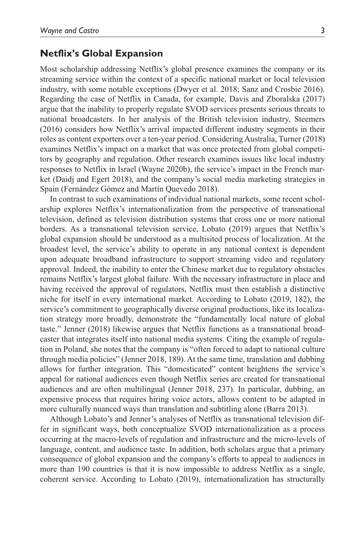#### **Netflix's Global Expansion**

Most scholarship addressing Netflix's global presence examines the company or its streaming service within the context of a specific national market or local television industry, with some notable exceptions (Dwyer et al. 2018; Sanz and Crosbie 2016). Regarding the case of Netflix in Canada, for example, Davis and Zboralska (2017) argue that the inability to properly regulate SVOD services presents serious threats to national broadcasters. In her analysis of the British television industry, Steemers (2016) considers how Netflix's arrival impacted different industry segments in their roles as content exporters over a ten-year period. Considering Australia, Turner (2018) examines Netflix's impact on a market that was once protected from global competitors by geography and regulation. Other research examines issues like local industry responses to Netflix in Israel (Wayne 2020b), the service's impact in the French market (Daidj and Egert 2018), and the company's social media marketing strategies in Spain (Fernández Gómez and Martín Quevedo 2018).

In contrast to such examinations of individual national markets, some recent scholarship explores Netflix's internationalization from the perspective of transnational television, defined as television distribution systems that cross one or more national borders. As a transnational television service, Lobato (2019) argues that Netflix's global expansion should be understood as a multisited process of localization. At the broadest level, the service's ability to operate in any national context is dependent upon adequate broadband infrastructure to support streaming video and regulatory approval. Indeed, the inability to enter the Chinese market due to regulatory obstacles remains Netflix's largest global failure. With the necessary infrastructure in place and having received the approval of regulators, Netflix must then establish a distinctive niche for itself in every international market. According to Lobato (2019, 182), the service's commitment to geographically diverse original productions, like its localization strategy more broadly, demonstrate the "fundamentally local nature of global taste." Jenner (2018) likewise argues that Netflix functions as a transnational broadcaster that integrates itself into national media systems. Citing the example of regulation in Poland, she notes that the company is "often forced to adapt to national culture through media policies" (Jenner 2018, 189). At the same time, translation and dubbing allows for further integration. This "domesticated" content heightens the service's appeal for national audiences even though Netflix series are created for transnational audiences and are often multilingual (Jenner 2018, 237). In particular, dubbing, an expensive process that requires hiring voice actors, allows content to be adapted in more culturally nuanced ways than translation and subtitling alone (Barra 2013).

Although Lobato's and Jenner's analyses of Netflix as transnational television differ in significant ways, both conceptualize SVOD internationalization as a process occurring at the macro-levels of regulation and infrastructure and the micro-levels of language, content, and audience taste. In addition, both scholars argue that a primary consequence of global expansion and the company's efforts to appeal to audiences in more than 190 countries is that it is now impossible to address Netflix as a single, coherent service. According to Lobato (2019), internationalization has structurally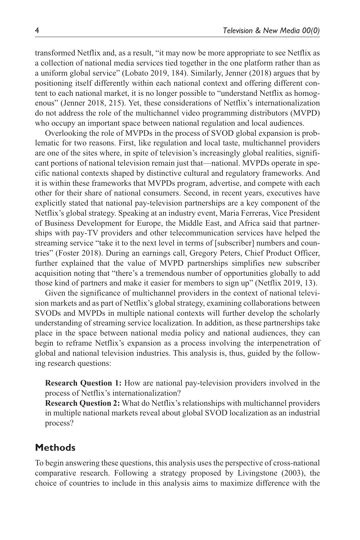transformed Netflix and, as a result, "it may now be more appropriate to see Netflix as a collection of national media services tied together in the one platform rather than as a uniform global service" (Lobato 2019, 184). Similarly, Jenner (2018) argues that by positioning itself differently within each national context and offering different content to each national market, it is no longer possible to "understand Netflix as homogenous" (Jenner 2018, 215). Yet, these considerations of Netflix's internationalization do not address the role of the multichannel video programming distributors (MVPD) who occupy an important space between national regulation and local audiences.

Overlooking the role of MVPDs in the process of SVOD global expansion is problematic for two reasons. First, like regulation and local taste, multichannel providers are one of the sites where, in spite of television's increasingly global realities, significant portions of national television remain just that—national. MVPDs operate in specific national contexts shaped by distinctive cultural and regulatory frameworks. And it is within these frameworks that MVPDs program, advertise, and compete with each other for their share of national consumers. Second, in recent years, executives have explicitly stated that national pay-television partnerships are a key component of the Netflix's global strategy. Speaking at an industry event, Maria Ferreras, Vice President of Business Development for Europe, the Middle East, and Africa said that partnerships with pay-TV providers and other telecommunication services have helped the streaming service "take it to the next level in terms of [subscriber] numbers and countries" (Foster 2018). During an earnings call, Gregory Peters, Chief Product Officer, further explained that the value of MVPD partnerships simplifies new subscriber acquisition noting that "there's a tremendous number of opportunities globally to add those kind of partners and make it easier for members to sign up" (Netflix 2019, 13).

Given the significance of multichannel providers in the context of national television markets and as part of Netflix's global strategy, examining collaborations between SVODs and MVPDs in multiple national contexts will further develop the scholarly understanding of streaming service localization. In addition, as these partnerships take place in the space between national media policy and national audiences, they can begin to reframe Netflix's expansion as a process involving the interpenetration of global and national television industries. This analysis is, thus, guided by the following research questions:

**Research Question 1:** How are national pay-television providers involved in the process of Netflix's internationalization?

**Research Question 2:** What do Netflix's relationships with multichannel providers in multiple national markets reveal about global SVOD localization as an industrial process?

## **Methods**

To begin answering these questions, this analysis uses the perspective of cross-national comparative research. Following a strategy proposed by Livingstone (2003), the choice of countries to include in this analysis aims to maximize difference with the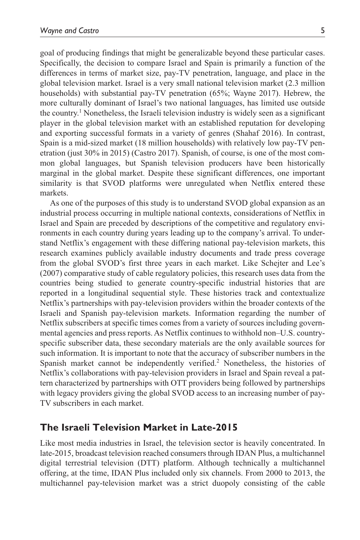goal of producing findings that might be generalizable beyond these particular cases. Specifically, the decision to compare Israel and Spain is primarily a function of the differences in terms of market size, pay-TV penetration, language, and place in the global television market. Israel is a very small national television market (2.3 million households) with substantial pay-TV penetration (65%; Wayne 2017). Hebrew, the more culturally dominant of Israel's two national languages, has limited use outside the country.1 Nonetheless, the Israeli television industry is widely seen as a significant player in the global television market with an established reputation for developing and exporting successful formats in a variety of genres (Shahaf 2016). In contrast, Spain is a mid-sized market (18 million households) with relatively low pay-TV penetration (just 30% in 2015) (Castro 2017). Spanish, of course, is one of the most common global languages, but Spanish television producers have been historically marginal in the global market. Despite these significant differences, one important similarity is that SVOD platforms were unregulated when Netflix entered these markets.

As one of the purposes of this study is to understand SVOD global expansion as an industrial process occurring in multiple national contexts, considerations of Netflix in Israel and Spain are preceded by descriptions of the competitive and regulatory environments in each country during years leading up to the company's arrival. To understand Netflix's engagement with these differing national pay-television markets, this research examines publicly available industry documents and trade press coverage from the global SVOD's first three years in each market. Like Schejter and Lee's (2007) comparative study of cable regulatory policies, this research uses data from the countries being studied to generate country-specific industrial histories that are reported in a longitudinal sequential style. These histories track and contextualize Netflix's partnerships with pay-television providers within the broader contexts of the Israeli and Spanish pay-television markets. Information regarding the number of Netflix subscribers at specific times comes from a variety of sources including governmental agencies and press reports. As Netflix continues to withhold non–U.S. countryspecific subscriber data, these secondary materials are the only available sources for such information. It is important to note that the accuracy of subscriber numbers in the Spanish market cannot be independently verified.<sup>2</sup> Nonetheless, the histories of Netflix's collaborations with pay-television providers in Israel and Spain reveal a pattern characterized by partnerships with OTT providers being followed by partnerships with legacy providers giving the global SVOD access to an increasing number of pay-TV subscribers in each market.

### **The Israeli Television Market in Late-2015**

Like most media industries in Israel, the television sector is heavily concentrated. In late-2015, broadcast television reached consumers through IDAN Plus, a multichannel digital terrestrial television (DTT) platform. Although technically a multichannel offering, at the time, IDAN Plus included only six channels. From 2000 to 2013, the multichannel pay-television market was a strict duopoly consisting of the cable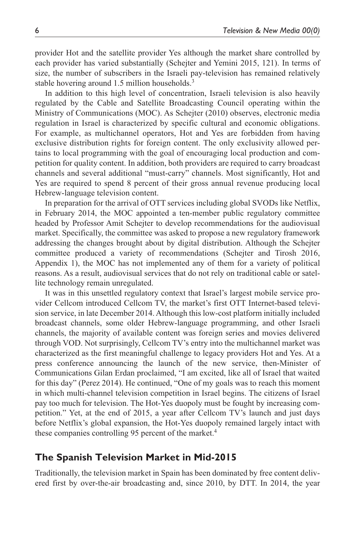provider Hot and the satellite provider Yes although the market share controlled by each provider has varied substantially (Schejter and Yemini 2015, 121). In terms of size, the number of subscribers in the Israeli pay-television has remained relatively stable hovering around 1.5 million households.<sup>3</sup>

In addition to this high level of concentration, Israeli television is also heavily regulated by the Cable and Satellite Broadcasting Council operating within the Ministry of Communications (MOC). As Schejter (2010) observes, electronic media regulation in Israel is characterized by specific cultural and economic obligations. For example, as multichannel operators, Hot and Yes are forbidden from having exclusive distribution rights for foreign content. The only exclusivity allowed pertains to local programming with the goal of encouraging local production and competition for quality content. In addition, both providers are required to carry broadcast channels and several additional "must-carry" channels. Most significantly, Hot and Yes are required to spend 8 percent of their gross annual revenue producing local Hebrew-language television content.

In preparation for the arrival of OTT services including global SVODs like Netflix, in February 2014, the MOC appointed a ten-member public regulatory committee headed by Professor Amit Schejter to develop recommendations for the audiovisual market. Specifically, the committee was asked to propose a new regulatory framework addressing the changes brought about by digital distribution. Although the Schejter committee produced a variety of recommendations (Schejter and Tirosh 2016, Appendix 1), the MOC has not implemented any of them for a variety of political reasons. As a result, audiovisual services that do not rely on traditional cable or satellite technology remain unregulated.

It was in this unsettled regulatory context that Israel's largest mobile service provider Cellcom introduced Cellcom TV, the market's first OTT Internet-based television service, in late December 2014. Although this low-cost platform initially included broadcast channels, some older Hebrew-language programming, and other Israeli channels, the majority of available content was foreign series and movies delivered through VOD. Not surprisingly, Cellcom TV's entry into the multichannel market was characterized as the first meaningful challenge to legacy providers Hot and Yes. At a press conference announcing the launch of the new service, then-Minister of Communications Gilan Erdan proclaimed, "I am excited, like all of Israel that waited for this day" (Perez 2014). He continued, "One of my goals was to reach this moment in which multi-channel television competition in Israel begins. The citizens of Israel pay too much for television. The Hot-Yes duopoly must be fought by increasing competition." Yet, at the end of 2015, a year after Cellcom TV's launch and just days before Netflix's global expansion, the Hot-Yes duopoly remained largely intact with these companies controlling 95 percent of the market.<sup>4</sup>

## **The Spanish Television Market in Mid-2015**

Traditionally, the television market in Spain has been dominated by free content delivered first by over-the-air broadcasting and, since 2010, by DTT. In 2014, the year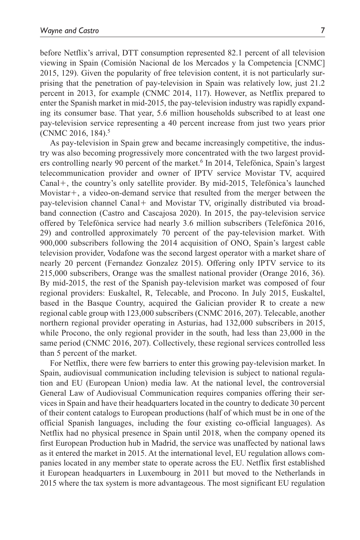before Netflix's arrival, DTT consumption represented 82.1 percent of all television viewing in Spain (Comisión Nacional de los Mercados y la Competencia [CNMC] 2015, 129). Given the popularity of free television content, it is not particularly surprising that the penetration of pay-television in Spain was relatively low, just 21.2 percent in 2013, for example (CNMC 2014, 117). However, as Netflix prepared to enter the Spanish market in mid-2015, the pay-television industry was rapidly expanding its consumer base. That year, 5.6 million households subscribed to at least one pay-television service representing a 40 percent increase from just two years prior (CNMC 2016, 184).5

As pay-television in Spain grew and became increasingly competitive, the industry was also becoming progressively more concentrated with the two largest providers controlling nearly 90 percent of the market.<sup>6</sup> In 2014, Telefónica, Spain's largest telecommunication provider and owner of IPTV service Movistar TV, acquired Canal+, the country's only satellite provider. By mid-2015, Telefónica's launched Movistar+, a video-on-demand service that resulted from the merger between the pay-television channel Canal+ and Movistar TV, originally distributed via broadband connection (Castro and Cascajosa 2020). In 2015, the pay-television service offered by Telefónica service had nearly 3.6 million subscribers (Telefónica 2016, 29) and controlled approximately 70 percent of the pay-television market. With 900,000 subscribers following the 2014 acquisition of ONO, Spain's largest cable television provider, Vodafone was the second largest operator with a market share of nearly 20 percent (Fernandez Gonzalez 2015). Offering only IPTV service to its 215,000 subscribers, Orange was the smallest national provider (Orange 2016, 36). By mid-2015, the rest of the Spanish pay-television market was composed of four regional providers: Euskaltel, R, Telecable, and Procono. In July 2015, Euskaltel, based in the Basque Country, acquired the Galician provider R to create a new regional cable group with 123,000 subscribers (CNMC 2016, 207). Telecable, another northern regional provider operating in Asturias, had 132,000 subscribers in 2015, while Procono, the only regional provider in the south, had less than 23,000 in the same period (CNMC 2016, 207). Collectively, these regional services controlled less than 5 percent of the market.

For Netflix, there were few barriers to enter this growing pay-television market. In Spain, audiovisual communication including television is subject to national regulation and EU (European Union) media law. At the national level, the controversial General Law of Audiovisual Communication requires companies offering their services in Spain and have their headquarters located in the country to dedicate 30 percent of their content catalogs to European productions (half of which must be in one of the official Spanish languages, including the four existing co-official languages). As Netflix had no physical presence in Spain until 2018, when the company opened its first European Production hub in Madrid, the service was unaffected by national laws as it entered the market in 2015. At the international level, EU regulation allows companies located in any member state to operate across the EU. Netflix first established it European headquarters in Luxembourg in 2011 but moved to the Netherlands in 2015 where the tax system is more advantageous. The most significant EU regulation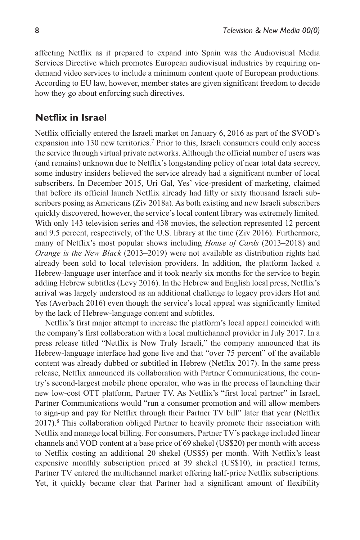affecting Netflix as it prepared to expand into Spain was the Audiovisual Media Services Directive which promotes European audiovisual industries by requiring ondemand video services to include a minimum content quote of European productions. According to EU law, however, member states are given significant freedom to decide how they go about enforcing such directives.

## **Netflix in Israel**

Netflix officially entered the Israeli market on January 6, 2016 as part of the SVOD's expansion into 130 new territories.<sup>7</sup> Prior to this, Israeli consumers could only access the service through virtual private networks. Although the official number of users was (and remains) unknown due to Netflix's longstanding policy of near total data secrecy, some industry insiders believed the service already had a significant number of local subscribers. In December 2015, Uri Gal, Yes' vice-president of marketing, claimed that before its official launch Netflix already had fifty or sixty thousand Israeli subscribers posing as Americans (Ziv 2018a). As both existing and new Israeli subscribers quickly discovered, however, the service's local content library was extremely limited. With only 143 television series and 438 movies, the selection represented 12 percent and 9.5 percent, respectively, of the U.S. library at the time (Ziv 2016). Furthermore, many of Netflix's most popular shows including *House of Cards* (2013–2018) and *Orange is the New Black* (2013–2019) were not available as distribution rights had already been sold to local television providers. In addition, the platform lacked a Hebrew-language user interface and it took nearly six months for the service to begin adding Hebrew subtitles (Levy 2016). In the Hebrew and English local press, Netflix's arrival was largely understood as an additional challenge to legacy providers Hot and Yes (Averbach 2016) even though the service's local appeal was significantly limited by the lack of Hebrew-language content and subtitles.

Netflix's first major attempt to increase the platform's local appeal coincided with the company's first collaboration with a local multichannel provider in July 2017. In a press release titled "Netflix is Now Truly Israeli," the company announced that its Hebrew-language interface had gone live and that "over 75 percent" of the available content was already dubbed or subtitled in Hebrew (Netflix 2017). In the same press release, Netflix announced its collaboration with Partner Communications, the country's second-largest mobile phone operator, who was in the process of launching their new low-cost OTT platform, Partner TV. As Netflix's "first local partner" in Israel, Partner Communications would "run a consumer promotion and will allow members to sign-up and pay for Netflix through their Partner TV bill" later that year (Netflix 2017).<sup>8</sup> This collaboration obliged Partner to heavily promote their association with Netflix and manage local billing. For consumers, Partner TV's package included linear channels and VOD content at a base price of 69 shekel (US\$20) per month with access to Netflix costing an additional 20 shekel (US\$5) per month. With Netflix's least expensive monthly subscription priced at 39 shekel (US\$10), in practical terms, Partner TV entered the multichannel market offering half-price Netflix subscriptions. Yet, it quickly became clear that Partner had a significant amount of flexibility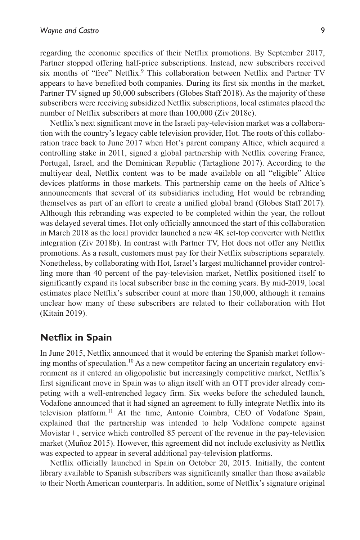regarding the economic specifics of their Netflix promotions. By September 2017, Partner stopped offering half-price subscriptions. Instead, new subscribers received six months of "free" Netflix.<sup>9</sup> This collaboration between Netflix and Partner TV appears to have benefited both companies. During its first six months in the market, Partner TV signed up 50,000 subscribers (Globes Staff 2018). As the majority of these subscribers were receiving subsidized Netflix subscriptions, local estimates placed the number of Netflix subscribers at more than 100,000 (Ziv 2018c).

Netflix's next significant move in the Israeli pay-television market was a collaboration with the country's legacy cable television provider, Hot. The roots of this collaboration trace back to June 2017 when Hot's parent company Altice, which acquired a controlling stake in 2011, signed a global partnership with Netflix covering France, Portugal, Israel, and the Dominican Republic (Tartaglione 2017). According to the multiyear deal, Netflix content was to be made available on all "eligible" Altice devices platforms in those markets. This partnership came on the heels of Altice's announcements that several of its subsidiaries including Hot would be rebranding themselves as part of an effort to create a unified global brand (Globes Staff 2017). Although this rebranding was expected to be completed within the year, the rollout was delayed several times. Hot only officially announced the start of this collaboration in March 2018 as the local provider launched a new 4K set-top converter with Netflix integration (Ziv 2018b). In contrast with Partner TV, Hot does not offer any Netflix promotions. As a result, customers must pay for their Netflix subscriptions separately. Nonetheless, by collaborating with Hot, Israel's largest multichannel provider controlling more than 40 percent of the pay-television market, Netflix positioned itself to significantly expand its local subscriber base in the coming years. By mid-2019, local estimates place Netflix's subscriber count at more than 150,000, although it remains unclear how many of these subscribers are related to their collaboration with Hot (Kitain 2019).

## **Netflix in Spain**

In June 2015, Netflix announced that it would be entering the Spanish market following months of speculation.<sup>10</sup> As a new competitor facing an uncertain regulatory environment as it entered an oligopolistic but increasingly competitive market, Netflix's first significant move in Spain was to align itself with an OTT provider already competing with a well-entrenched legacy firm. Six weeks before the scheduled launch, Vodafone announced that it had signed an agreement to fully integrate Netflix into its television platform.11 At the time, Antonio Coimbra, CEO of Vodafone Spain, explained that the partnership was intended to help Vodafone compete against Movistar+, service which controlled 85 percent of the revenue in the pay-television market (Muñoz 2015). However, this agreement did not include exclusivity as Netflix was expected to appear in several additional pay-television platforms.

Netflix officially launched in Spain on October 20, 2015. Initially, the content library available to Spanish subscribers was significantly smaller than those available to their North American counterparts. In addition, some of Netflix's signature original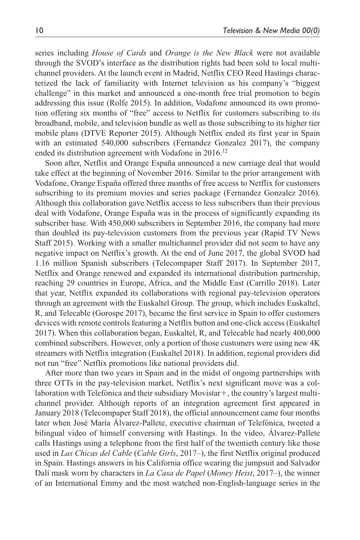series including *House of Cards* and *Orange is the New Black* were not available through the SVOD's interface as the distribution rights had been sold to local multichannel providers. At the launch event in Madrid, Netflix CEO Reed Hastings characterized the lack of familiarity with Internet television as his company's "biggest challenge" in this market and announced a one-month free trial promotion to begin addressing this issue (Rolfe 2015). In addition, Vodafone announced its own promotion offering six months of "free" access to Netflix for customers subscribing to its broadband, mobile, and television bundle as well as those subscribing to its higher tier mobile plans (DTVE Reporter 2015). Although Netflix ended its first year in Spain with an estimated 540,000 subscribers (Fernandez Gonzalez 2017), the company ended its distribution agreement with Vodafone in 2016.<sup>12</sup>

Soon after, Netflix and Orange España announced a new carriage deal that would take effect at the beginning of November 2016. Similar to the prior arrangement with Vodafone, Orange España offered three months of free access to Netflix for customers subscribing to its premium movies and series package (Fernandez Gonzalez 2016). Although this collaboration gave Netflix access to less subscribers than their previous deal with Vodafone, Orange España was in the process of significantly expanding its subscriber base. With 450,000 subscribers in September 2016, the company had more than doubled its pay-television customers from the previous year (Rapid TV News Staff 2015). Working with a smaller multichannel provider did not seem to have any negative impact on Netflix's growth. At the end of June 2017, the global SVOD had 1.16 million Spanish subscribers (Telecompaper Staff 2017). In September 2017, Netflix and Orange renewed and expanded its international distribution partnership, reaching 29 countries in Europe, Africa, and the Middle East (Carrillo 2018). Later that year, Netflix expanded its collaborations with regional pay-television operators through an agreement with the Euskaltel Group. The group, which includes Euskaltel, R, and Telecable (Gorospe 2017), became the first service in Spain to offer customers devices with remote controls featuring a Netflix button and one-click access (Euskaltel 2017). When this collaboration began, Euskaltel, R, and Telecable had nearly 400,000 combined subscribers. However, only a portion of those customers were using new 4K streamers with Netflix integration (Euskaltel 2018). In addition, regional providers did not run "free" Netflix promotions like national providers did.

After more than two years in Spain and in the midst of ongoing partnerships with three OTTs in the pay-television market, Netflix's next significant move was a collaboration with Telefónica and their subsidiary Movistar +, the country's largest multichannel provider. Although reports of an integration agreement first appeared in January 2018 (Telecompaper Staff 2018), the official announcement came four months later when José María Álvarez-Pallete, executive chairman of Telefónica, tweeted a bilingual video of himself conversing with Hastings. In the video, Álvarez-Pallete calls Hastings using a telephone from the first half of the twentieth century like those used in *Las Chicas del Cable* (*Cable Girls*, 2017–), the first Netflix original produced in Spain. Hastings answers in his California office wearing the jumpsuit and Salvador Dalí mask worn by characters in *La Casa de Papel* (*Money Heist*, 2017–), the winner of an International Emmy and the most watched non-English-language series in the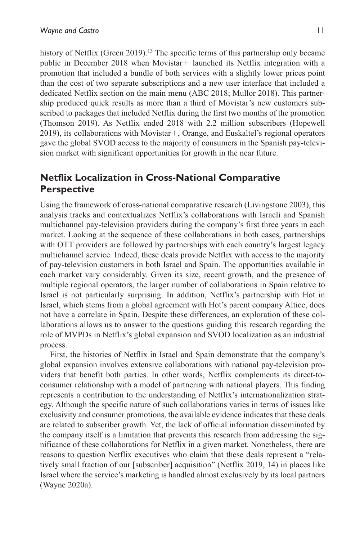history of Netflix (Green 2019).<sup>13</sup> The specific terms of this partnership only became public in December 2018 when Movistar+ launched its Netflix integration with a promotion that included a bundle of both services with a slightly lower prices point than the cost of two separate subscriptions and a new user interface that included a dedicated Netflix section on the main menu (ABC 2018; Mullor 2018). This partnership produced quick results as more than a third of Movistar's new customers subscribed to packages that included Netflix during the first two months of the promotion (Thomson 2019). As Netflix ended 2018 with 2.2 million subscribers (Hopewell 2019), its collaborations with Movistar+, Orange, and Euskaltel's regional operators gave the global SVOD access to the majority of consumers in the Spanish pay-television market with significant opportunities for growth in the near future.

## **Netflix Localization in Cross-National Comparative Perspective**

Using the framework of cross-national comparative research (Livingstone 2003), this analysis tracks and contextualizes Netflix's collaborations with Israeli and Spanish multichannel pay-television providers during the company's first three years in each market. Looking at the sequence of these collaborations in both cases, partnerships with OTT providers are followed by partnerships with each country's largest legacy multichannel service. Indeed, these deals provide Netflix with access to the majority of pay-television customers in both Israel and Spain. The opportunities available in each market vary considerably. Given its size, recent growth, and the presence of multiple regional operators, the larger number of collaborations in Spain relative to Israel is not particularly surprising. In addition, Netflix's partnership with Hot in Israel, which stems from a global agreement with Hot's parent company Altice, does not have a correlate in Spain. Despite these differences, an exploration of these collaborations allows us to answer to the questions guiding this research regarding the role of MVPDs in Netflix's global expansion and SVOD localization as an industrial process.

First, the histories of Netflix in Israel and Spain demonstrate that the company's global expansion involves extensive collaborations with national pay-television providers that benefit both parties. In other words, Netflix complements its direct-toconsumer relationship with a model of partnering with national players. This finding represents a contribution to the understanding of Netflix's internationalization strategy. Although the specific nature of such collaborations varies in terms of issues like exclusivity and consumer promotions, the available evidence indicates that these deals are related to subscriber growth. Yet, the lack of official information disseminated by the company itself is a limitation that prevents this research from addressing the significance of these collaborations for Netflix in a given market. Nonetheless, there are reasons to question Netflix executives who claim that these deals represent a "relatively small fraction of our [subscriber] acquisition" (Netflix 2019, 14) in places like Israel where the service's marketing is handled almost exclusively by its local partners (Wayne 2020a).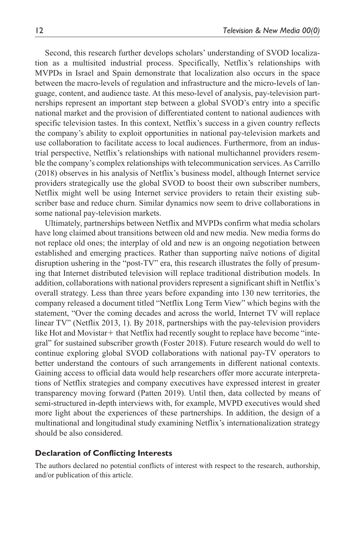Second, this research further develops scholars' understanding of SVOD localization as a multisited industrial process. Specifically, Netflix's relationships with MVPDs in Israel and Spain demonstrate that localization also occurs in the space between the macro-levels of regulation and infrastructure and the micro-levels of language, content, and audience taste. At this meso-level of analysis, pay-television partnerships represent an important step between a global SVOD's entry into a specific national market and the provision of differentiated content to national audiences with specific television tastes. In this context, Netflix's success in a given country reflects the company's ability to exploit opportunities in national pay-television markets and use collaboration to facilitate access to local audiences. Furthermore, from an industrial perspective, Netflix's relationships with national multichannel providers resemble the company's complex relationships with telecommunication services. As Carrillo (2018) observes in his analysis of Netflix's business model, although Internet service providers strategically use the global SVOD to boost their own subscriber numbers, Netflix might well be using Internet service providers to retain their existing subscriber base and reduce churn. Similar dynamics now seem to drive collaborations in some national pay-television markets.

Ultimately, partnerships between Netflix and MVPDs confirm what media scholars have long claimed about transitions between old and new media. New media forms do not replace old ones; the interplay of old and new is an ongoing negotiation between established and emerging practices. Rather than supporting naïve notions of digital disruption ushering in the "post-TV" era, this research illustrates the folly of presuming that Internet distributed television will replace traditional distribution models. In addition, collaborations with national providers represent a significant shift in Netflix's overall strategy. Less than three years before expanding into 130 new territories, the company released a document titled "Netflix Long Term View" which begins with the statement, "Over the coming decades and across the world, Internet TV will replace linear TV" (Netflix 2013, 1). By 2018, partnerships with the pay-television providers like Hot and Movistar + that Netflix had recently sought to replace have become "integral" for sustained subscriber growth (Foster 2018). Future research would do well to continue exploring global SVOD collaborations with national pay-TV operators to better understand the contours of such arrangements in different national contexts. Gaining access to official data would help researchers offer more accurate interpretations of Netflix strategies and company executives have expressed interest in greater transparency moving forward (Patten 2019). Until then, data collected by means of semi-structured in-depth interviews with, for example, MVPD executives would shed more light about the experiences of these partnerships. In addition, the design of a multinational and longitudinal study examining Netflix's internationalization strategy should be also considered.

#### **Declaration of Conflicting Interests**

The authors declared no potential conflicts of interest with respect to the research, authorship, and/or publication of this article.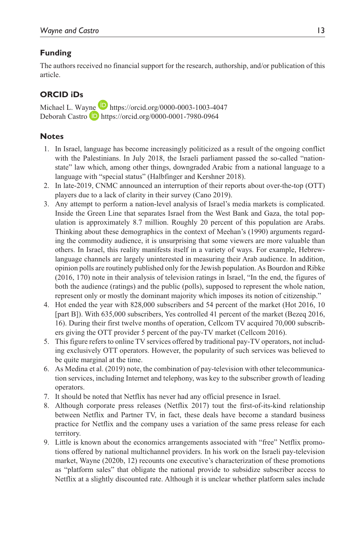### **Funding**

The authors received no financial support for the research, authorship, and/or publication of this article.

## **ORCID iDs**

Michael L. Wayne **<https://orcid.org/0000-0003-1003-4047>** Deborah Castro **D** <https://orcid.org/0000-0001-7980-0964>

#### **Notes**

- 1. In Israel, language has become increasingly politicized as a result of the ongoing conflict with the Palestinians. In July 2018, the Israeli parliament passed the so-called "nationstate" law which, among other things, downgraded Arabic from a national language to a language with "special status" (Halbfinger and Kershner 2018).
- 2. In late-2019, CNMC announced an interruption of their reports about over-the-top (OTT) players due to a lack of clarity in their survey (Cano 2019).
- 3. Any attempt to perform a nation-level analysis of Israel's media markets is complicated. Inside the Green Line that separates Israel from the West Bank and Gaza, the total population is approximately 8.7 million. Roughly 20 percent of this population are Arabs. Thinking about these demographics in the context of Meehan's (1990) arguments regarding the commodity audience, it is unsurprising that some viewers are more valuable than others. In Israel, this reality manifests itself in a variety of ways. For example, Hebrewlanguage channels are largely uninterested in measuring their Arab audience. In addition, opinion polls are routinely published only for the Jewish population. As Bourdon and Ribke (2016, 170) note in their analysis of television ratings in Israel, "In the end, the figures of both the audience (ratings) and the public (polls), supposed to represent the whole nation, represent only or mostly the dominant majority which imposes its notion of citizenship."
- 4. Hot ended the year with 828,000 subscribers and 54 percent of the market (Hot 2016, 10 [part B]). With 635,000 subscribers, Yes controlled 41 percent of the market (Bezeq 2016, 16). During their first twelve months of operation, Cellcom TV acquired 70,000 subscribers giving the OTT provider 5 percent of the pay-TV market (Cellcom 2016).
- 5. This figure refers to online TV services offered by traditional pay-TV operators, not including exclusively OTT operators. However, the popularity of such services was believed to be quite marginal at the time.
- 6. As Medina et al. (2019) note, the combination of pay-television with other telecommunication services, including Internet and telephony, was key to the subscriber growth of leading operators.
- 7. It should be noted that Netflix has never had any official presence in Israel.
- 8. Although corporate press releases (Netflix 2017) tout the first-of-its-kind relationship between Netflix and Partner TV, in fact, these deals have become a standard business practice for Netflix and the company uses a variation of the same press release for each territory.
- 9. Little is known about the economics arrangements associated with "free" Netflix promotions offered by national multichannel providers. In his work on the Israeli pay-television market, Wayne (2020b, 12) recounts one executive's characterization of these promotions as "platform sales" that obligate the national provide to subsidize subscriber access to Netflix at a slightly discounted rate. Although it is unclear whether platform sales include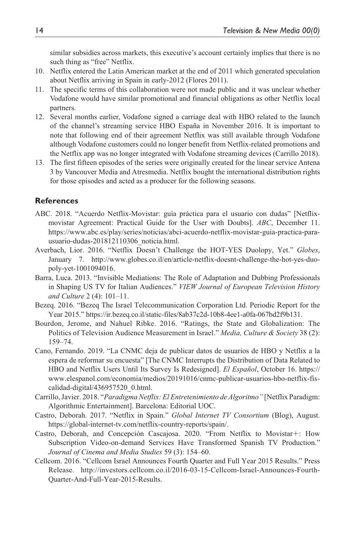similar subsidies across markets, this executive's account certainly implies that there is no such thing as "free" Netflix.

- 10. Netflix entered the Latin American market at the end of 2011 which generated speculation about Netflix arriving in Spain in early-2012 (Flores 2011).
- 11. The specific terms of this collaboration were not made public and it was unclear whether Vodafone would have similar promotional and financial obligations as other Netflix local partners.
- 12. Several months earlier, Vodafone signed a carriage deal with HBO related to the launch of the channel's streaming service HBO España in November 2016. It is important to note that following end of their agreement Netflix was still available through Vodafone although Vodafone customers could no longer benefit from Netflix-related promotions and the Netflix app was no longer integrated with Vodafone streaming devices (Carrillo 2018).
- 13. The first fifteen episodes of the series were originally created for the linear service Antena 3 by Vancouver Media and Atresmedia. Netflix bought the international distribution rights for those episodes and acted as a producer for the following seasons.

#### **References**

- ABC. 2018. "Acuerdo Netflix-Movistar: guía práctica para el usuario con dudas" [Netflixmovistar Agreement: Practical Guide for the User with Doubts]. *ABC*, December 11. [https://www.abc.es/play/series/noticias/abci-acuerdo-netflix-movistar-guia-practica-para](https://www.abc.es/play/series/noticias/abci-acuerdo-netflix-movistar-guia-practica-para-usuario-dudas-201812110306_noticia.html)[usuario-dudas-201812110306\\_noticia.html](https://www.abc.es/play/series/noticias/abci-acuerdo-netflix-movistar-guia-practica-para-usuario-dudas-201812110306_noticia.html).
- Averbach, Lior. 2016. "Netflix Doesn't Challenge the HOT-YES Duolopy, Yet." *Globes*, January 7. [http://www.globes.co.il/en/article-netflix-doesnt-challenge-the-hot-yes-duo](http://www.globes.co.il/en/article-netflix-doesnt-challenge-the-hot-yes-duopoly-yet-1001094016)[poly-yet-1001094016.](http://www.globes.co.il/en/article-netflix-doesnt-challenge-the-hot-yes-duopoly-yet-1001094016)
- Barra, Luca. 2013. "Invisible Mediations: The Role of Adaptation and Dubbing Professionals in Shaping US TV for Italian Audiences." *VIEW Journal of European Television History and Culture* 2 (4): 101–11.
- Bezeq. 2016. "Bezeq The Israel Telecommunication Corporation Ltd. Periodic Report for the Year 2015." https://ir.bezeq.co.il/static-files/8ab37c2d-10b8-4ee1-a0fa-067bd2f9b131.
- Bourdon, Jerome, and Nahuel Ribke. 2016. "Ratings, the State and Globalization: The Politics of Television Audience Measurement in Israel." *Media, Culture & Society* 38 (2): 159–74.
- Cano, Fernando. 2019. "La CNMC deja de publicar datos de usuarios de HBO y Netflix a la espera de reformar su encuesta" [The CNMC Interrupts the Distribution of Data Related to HBO and Netflix Users Until Its Survey Is Redesigned]. *El Español*, October 16. [https://](https://www.elespanol.com/economia/medios/20191016/cnmc-publicar-usuarios-hbo-netflix-fiscalidad-digital/436957520_0.html) [www.elespanol.com/economia/medios/20191016/cnmc-publicar-usuarios-hbo-netflix-fis](https://www.elespanol.com/economia/medios/20191016/cnmc-publicar-usuarios-hbo-netflix-fiscalidad-digital/436957520_0.html)[calidad-digital/436957520\\_0.html.](https://www.elespanol.com/economia/medios/20191016/cnmc-publicar-usuarios-hbo-netflix-fiscalidad-digital/436957520_0.html)
- Carrillo, Javier. 2018. "*Paradigma Netflix: El Entretenimiento de Algoritmo"* [Netflix Paradigm: Algorithmic Entertainment]. Barcelona: Editorial UOC.
- Castro, Deborah. 2017. "Netflix in Spain." *Global Internet TV Consortium* (Blog), August. <https://global-internet-tv.com/netflix-country-reports/spain/>.
- Castro, Deborah, and Concepción Cascajosa. 2020. "From Netflix to Movistar+: How Subscription Video-on-demand Services Have Transformed Spanish TV Production." *Journal of Cinema and Media Studies* 59 (3): 154–60.
- Cellcom. 2016. "Cellcom Israel Announces Fourth Quarter and Full Year 2015 Results." Press Release. [http://investors.cellcom.co.il/2016-03-15-Cellcom-Israel-Announces-Fourth-](http://investors.cellcom.co.il/2016-03-15-Cellcom-Israel-Announces-Fourth-Quarter-And-Full-Year-2015-Results)[Quarter-And-Full-Year-2015-Results](http://investors.cellcom.co.il/2016-03-15-Cellcom-Israel-Announces-Fourth-Quarter-And-Full-Year-2015-Results).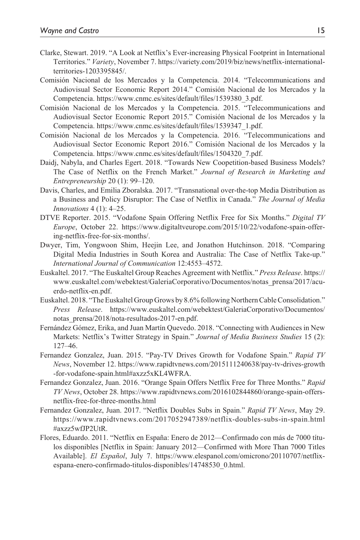- Clarke, Stewart. 2019. "A Look at Netflix's Ever-increasing Physical Footprint in International Territories." *Variety*, November 7. [https://variety.com/2019/biz/news/netflix-international](https://variety.com/2019/biz/news/netflix-international-territories-1203395845/)[territories-1203395845/](https://variety.com/2019/biz/news/netflix-international-territories-1203395845/).
- Comisión Nacional de los Mercados y la Competencia. 2014. "Telecommunications and Audiovisual Sector Economic Report 2014." Comisión Nacional de los Mercados y la Competencia. [https://www.cnmc.es/sites/default/files/1539380\\_3.pdf](https://www.cnmc.es/sites/default/files/1539380_3.pdf).
- Comisión Nacional de los Mercados y la Competencia. 2015. "Telecommunications and Audiovisual Sector Economic Report 2015." Comisión Nacional de los Mercados y la Competencia. [https://www.cnmc.es/sites/default/files/1539347\\_1.pdf](https://www.cnmc.es/sites/default/files/1539347_1.pdf).
- Comisión Nacional de los Mercados y la Competencia. 2016. "Telecommunications and Audiovisual Sector Economic Report 2016." Comisión Nacional de los Mercados y la Competencia. [https://www.cnmc.es/sites/default/files/1504320\\_7.pdf](https://www.cnmc.es/sites/default/files/1504320_7.pdf).
- Daidj, Nabyla, and Charles Egert. 2018. "Towards New Coopetition-based Business Models? The Case of Netflix on the French Market." *Journal of Research in Marketing and Entrepreneurship* 20 (1): 99–120.
- Davis, Charles, and Emilia Zboralska. 2017. "Transnational over-the-top Media Distribution as a Business and Policy Disruptor: The Case of Netflix in Canada." *The Journal of Media Innovations* 4 (1): 4–25.
- DTVE Reporter. 2015. "Vodafone Spain Offering Netflix Free for Six Months." *Digital TV Europe*, October 22. [https://www.digitaltveurope.com/2015/10/22/vodafone-spain-offer](https://www.digitaltveurope.com/2015/10/22/vodafone-spain-offering-netflix-free-for-six-months/)[ing-netflix-free-for-six-months/.](https://www.digitaltveurope.com/2015/10/22/vodafone-spain-offering-netflix-free-for-six-months/)
- Dwyer, Tim, Yongwoon Shim, Heejin Lee, and Jonathon Hutchinson. 2018. "Comparing Digital Media Industries in South Korea and Australia: The Case of Netflix Take-up." *International Journal of Communication* 12:4553–4572.
- Euskaltel. 2017. "The Euskaltel Group Reaches Agreement with Netflix." *Press Release*. [https://](https://www.euskaltel.com/webektest/GaleriaCorporativo/Documentos/notas_prensa/2017/acuerdo-netflix-en.pdf) [www.euskaltel.com/webektest/GaleriaCorporativo/Documentos/notas\\_prensa/2017/acu](https://www.euskaltel.com/webektest/GaleriaCorporativo/Documentos/notas_prensa/2017/acuerdo-netflix-en.pdf)[erdo-netflix-en.pdf](https://www.euskaltel.com/webektest/GaleriaCorporativo/Documentos/notas_prensa/2017/acuerdo-netflix-en.pdf).
- Euskaltel. 2018. "The Euskaltel Group Grows by 8.6% following Northern Cable Consolidation." *Press Release*. [https://www.euskaltel.com/webektest/GaleriaCorporativo/Documentos/](https://www.euskaltel.com/webektest/GaleriaCorporativo/Documentos/notas_prensa/2018/nota-resultados-2017-en.pdf) [notas\\_prensa/2018/nota-resultados-2017-en.pdf.](https://www.euskaltel.com/webektest/GaleriaCorporativo/Documentos/notas_prensa/2018/nota-resultados-2017-en.pdf)
- Fernández Gómez, Erika, and Juan Martín Quevedo. 2018. "Connecting with Audiences in New Markets: Netflix's Twitter Strategy in Spain." *Journal of Media Business Studies* 15 (2): 127–46.
- Fernandez Gonzalez, Juan. 2015. "Pay-TV Drives Growth for Vodafone Spain." *Rapid TV News*, November 12. [https://www.rapidtvnews.com/2015111240638/pay-tv-drives-growth](https://www.rapidtvnews.com/2015111240638/pay-tv-drives-growth-for-vodafone-spain.html#axzz5xKL4WFRA) [-for-vodafone-spain.html#axzz5xKL4WFRA](https://www.rapidtvnews.com/2015111240638/pay-tv-drives-growth-for-vodafone-spain.html#axzz5xKL4WFRA).
- Fernandez Gonzalez, Juan. 2016. "Orange Spain Offers Netflix Free for Three Months." *Rapid TV News*, October 28. [https://www.rapidtvnews.com/2016102844860/orange-spain-offers](https://www.rapidtvnews.com/2016102844860/orange-spain-offers-netflix-free-for-three-months.html)[netflix-free-for-three-months.html](https://www.rapidtvnews.com/2016102844860/orange-spain-offers-netflix-free-for-three-months.html)
- Fernandez Gonzalez, Juan. 2017. "Netflix Doubles Subs in Spain." *Rapid TV News*, May 29. [https://www.rapidtvnews.com/2017052947389/netflix-doubles-subs-in-spain.html](https://www.rapidtvnews.com/2017052947389/netflix-doubles-subs-in-spain.html#axzz5wfJP2UtR) [#axzz5wfJP2UtR.](https://www.rapidtvnews.com/2017052947389/netflix-doubles-subs-in-spain.html#axzz5wfJP2UtR)
- Flores, Eduardo. 2011. "Netflix en España: Enero de 2012—Confirmado con más de 7000 títulos disponibles [Netflix in Spain: January 2012—Confirmed with More Than 7000 Titles Available]. *El Español*, July 7. [https://www.elespanol.com/omicrono/20110707/netflix](https://www.elespanol.com/omicrono/20110707/netflix-espana-enero-confirmado-titulos-disponibles/14748530_0.html)[espana-enero-confirmado-titulos-disponibles/14748530\\_0.html.](https://www.elespanol.com/omicrono/20110707/netflix-espana-enero-confirmado-titulos-disponibles/14748530_0.html)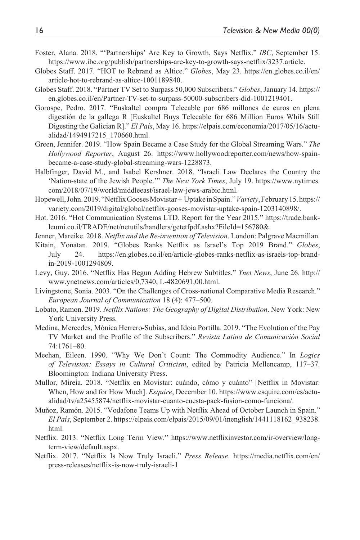- Foster, Alana. 2018. "'Partnerships' Are Key to Growth, Says Netflix." *IBC*, September 15. <https://www.ibc.org/publish/partnerships-are-key-to-growth-says-netflix/3237.article>.
- Globes Staff. 2017. "HOT to Rebrand as Altice." *Globes*, May 23. [https://en.globes.co.il/en/](https://en.globes.co.il/en/article-hot-to-rebrand-as-altice-1001189840) [article-hot-to-rebrand-as-altice-1001189840](https://en.globes.co.il/en/article-hot-to-rebrand-as-altice-1001189840).
- Globes Staff. 2018. "Partner TV Set to Surpass 50,000 Subscribers." *Globes*, January 14. [https://](https://en.globes.co.il/en/Partner-TV-set-to-surpass-50000-subscribers-did-1001219401) [en.globes.co.il/en/Partner-TV-set-to-surpass-50000-subscribers-did-1001219401.](https://en.globes.co.il/en/Partner-TV-set-to-surpass-50000-subscribers-did-1001219401)
- Gorospe, Pedro. 2017. "Euskaltel compra Telecable por 686 millones de euros en plena digestión de la gallega R [Euskaltel Buys Telecable for 686 Million Euros Whils Still Digesting the Galician R]." *El País*, May 16. [https://elpais.com/economia/2017/05/16/actu](https://elpais.com/economia/2017/05/16/actualidad/1494917215_170660.html)[alidad/1494917215\\_170660.html.](https://elpais.com/economia/2017/05/16/actualidad/1494917215_170660.html)
- Green, Jennifer. 2019. "How Spain Became a Case Study for the Global Streaming Wars." *The Hollywood Reporter*, August 26. [https://www.hollywoodreporter.com/news/how-spain](https://www.hollywoodreporter.com/news/how-spain-became-a-case-study-global-streaming-wars-1228873)[became-a-case-study-global-streaming-wars-1228873.](https://www.hollywoodreporter.com/news/how-spain-became-a-case-study-global-streaming-wars-1228873)
- Halbfinger, David M., and Isabel Kershner. 2018. "Israeli Law Declares the Country the 'Nation-state of the Jewish People.'" *The New York Times*, July 19. [https://www.nytimes.](https://www.nytimes.com/2018/07/19/world/middleeast/israel-law-jews-arabic.html) [com/2018/07/19/world/middleeast/israel-law-jews-arabic.html](https://www.nytimes.com/2018/07/19/world/middleeast/israel-law-jews-arabic.html).
- Hopewell, John. 2019. "Netflix Gooses Movistar+ Uptake in Spain." *Variety*, February 15. [https://](https://variety.com/2019/digital/global/netflix-gooses-movistar-uptake-spain-1203140898/) [variety.com/2019/digital/global/netflix-gooses-movistar-uptake-spain-1203140898/](https://variety.com/2019/digital/global/netflix-gooses-movistar-uptake-spain-1203140898/).
- Hot. 2016. "Hot Communication Systems LTD. Report for the Year 2015." [https://trade.bank](https://trade.bankleumi.co.il/TRADE/net/netutils/handlers/getetfpdf.ashx?FileId=156780&)[leumi.co.il/TRADE/net/netutils/handlers/getetfpdf.ashx?FileId=156780&.](https://trade.bankleumi.co.il/TRADE/net/netutils/handlers/getetfpdf.ashx?FileId=156780&)
- Jenner, Mareike. 2018. *Netflix and the Re-invention of Television*. London: Palgrave Macmillan.
- Kitain, Yonatan. 2019. "Globes Ranks Netflix as Israel's Top 2019 Brand." *Globes*, July 24. [https://en.globes.co.il/en/article-globes-ranks-netflix-as-israels-top-brand](https://en.globes.co.il/en/article-globes-ranks-netflix-as-israels-top-brand-in-2019-1001294809)[in-2019-1001294809.](https://en.globes.co.il/en/article-globes-ranks-netflix-as-israels-top-brand-in-2019-1001294809)
- Levy, Guy. 2016. "Netflix Has Begun Adding Hebrew Subtitles." *Ynet News*, June 26. [http://](http://www.ynetnews.com/articles/0,7340, L-4820691,00.html) [www.ynetnews.com/articles/0,7340, L-4820691,00.html.](http://www.ynetnews.com/articles/0,7340, L-4820691,00.html)
- Livingstone, Sonia. 2003. "On the Challenges of Cross-national Comparative Media Research." *European Journal of Communication* 18 (4): 477–500.
- Lobato, Ramon. 2019. *Netflix Nations: The Geography of Digital Distribution*. New York: New York University Press.
- Medina, Mercedes, Mónica Herrero-Subías, and Idoia Portilla. 2019. "The Evolution of the Pay TV Market and the Profile of the Subscribers." *Revista Latina de Comunicación Social* 74:1761–80.
- Meehan, Eileen. 1990. "Why We Don't Count: The Commodity Audience." In *Logics of Television: Essays in Cultural Criticism*, edited by Patricia Mellencamp, 117–37. Bloomington: Indiana University Press.
- Mullor, Mireia. 2018. "Netflix en Movistar: cuándo, cómo y cuánto" [Netflix in Movistar: When, How and for How Much]. *Esquire*, December 10. [https://www.esquire.com/es/actu](https://www.esquire.com/es/actualidad/tv/a25455874/netflix-movistar-cuanto-cuesta-pack-fusion-como-funciona/)[alidad/tv/a25455874/netflix-movistar-cuanto-cuesta-pack-fusion-como-funciona/](https://www.esquire.com/es/actualidad/tv/a25455874/netflix-movistar-cuanto-cuesta-pack-fusion-como-funciona/).
- Muñoz, Ramón. 2015. "Vodafone Teams Up with Netflix Ahead of October Launch in Spain." *El País*, September 2. [https://elpais.com/elpais/2015/09/01/inenglish/1441118162\\_938238.](https://elpais.com/elpais/2015/09/01/inenglish/1441118162_938238.html) [html.](https://elpais.com/elpais/2015/09/01/inenglish/1441118162_938238.html)
- Netflix. 2013. "Netflix Long Term View." https://www.netflixinvestor.com/ir-overview/longterm-view/default.aspx.
- Netflix. 2017. "Netflix Is Now Truly Israeli." *Press Release*. [https://media.netflix.com/en/](https://media.netflix.com/en/press-releases/netflix-is-now-truly-israeli-1) [press-releases/netflix-is-now-truly-israeli-1](https://media.netflix.com/en/press-releases/netflix-is-now-truly-israeli-1)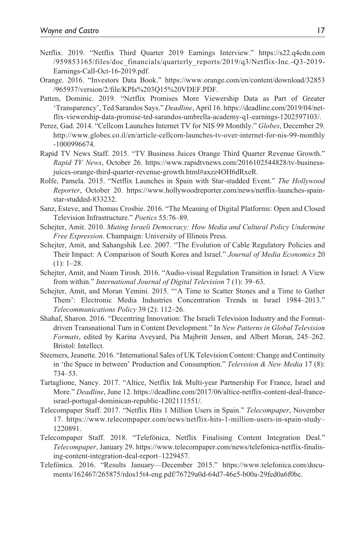- Netflix. 2019. "Netflix Third Quarter 2019 Earnings Interview." [https://s22.q4cdn.com](https://s22.q4cdn.com/959853165/files/doc_financials/quarterly_reports/2019/q3/Netflix-Inc.-Q3-2019-Earnings-Call-Oct-16-2019.pdf) [/959853165/files/doc\\_financials/quarterly\\_reports/2019/q3/Netflix-Inc.-Q3-2019-](https://s22.q4cdn.com/959853165/files/doc_financials/quarterly_reports/2019/q3/Netflix-Inc.-Q3-2019-Earnings-Call-Oct-16-2019.pdf) [Earnings-Call-Oct-16-2019.pdf](https://s22.q4cdn.com/959853165/files/doc_financials/quarterly_reports/2019/q3/Netflix-Inc.-Q3-2019-Earnings-Call-Oct-16-2019.pdf).
- Orange. 2016. "Investors Data Book." [https://www.orange.com/en/content/download/32853](https://www.orange.com/en/content/download/32853/965937/version/2/file/KPIs%203Q15%20VDEF.PDF) [/965937/version/2/file/KPIs%203Q15%20VDEF.PDF.](https://www.orange.com/en/content/download/32853/965937/version/2/file/KPIs%203Q15%20VDEF.PDF)
- Patten, Dominic. 2019. "Netflix Promises More Viewership Data as Part of Greater 'Transparency', Ted Sarandos Says." *Deadline*, April 16. [https://deadline.com/2019/04/net](https://deadline.com/2019/04/netflix-viewership-data-promise-ted-sarandos-umbrella-academy-q1-earnings-1202597103/)[flix-viewership-data-promise-ted-sarandos-umbrella-academy-q1-earnings-1202597103/](https://deadline.com/2019/04/netflix-viewership-data-promise-ted-sarandos-umbrella-academy-q1-earnings-1202597103/).
- Perez, Gad. 2014. "Cellcom Launches Internet TV for NIS 99 Monthly." *Globes*, December 29. [http://www.globes.co.il/en/article-cellcom-launches-tv-over-internet-for-nis-99-monthly](http://www.globes.co.il/en/article-cellcom-launches-tv-over-internet-for-nis-99-monthly-1000996674) [-1000996674.](http://www.globes.co.il/en/article-cellcom-launches-tv-over-internet-for-nis-99-monthly-1000996674)
- Rapid TV News Staff. 2015. "TV Business Juices Orange Third Quarter Revenue Growth." *Rapid TV News*, October 26. [https://www.rapidtvnews.com/2016102544828/tv-business](https://www.rapidtvnews.com/2016102544828/tv-business-juices-orange-third-quarter-revenue-growth.html#axzz4OH6dRxeR)[juices-orange-third-quarter-revenue-growth.html#axzz4OH6dRxeR.](https://www.rapidtvnews.com/2016102544828/tv-business-juices-orange-third-quarter-revenue-growth.html#axzz4OH6dRxeR)
- Rolfe, Pamela. 2015. "Netflix Launches in Spain with Star-studded Event." *The Hollywood Reporter*, October 20. [https://www.hollywoodreporter.com/news/netflix-launches-spain](https://www.hollywoodreporter.com/news/netflix-launches-spain-star-studded-833232)[star-studded-833232.](https://www.hollywoodreporter.com/news/netflix-launches-spain-star-studded-833232)
- Sanz, Esteve, and Thomas Crosbie. 2016. "The Meaning of Digital Platforms: Open and Closed Television Infrastructure." *Poetics* 55:76–89.
- Schejter, Amit. 2010. *Muting Israeli Democracy: How Media and Cultural Policy Undermine Free Expression*. Champaign: University of Illinois Press.
- Schejter, Amit, and Sahangshik Lee. 2007. "The Evolution of Cable Regulatory Policies and Their Impact: A Comparison of South Korea and Israel." *Journal of Media Economics* 20  $(1): 1-28.$
- Schejter, Amit, and Noam Tirosh. 2016. "Audio-visual Regulation Transition in Israel: A View from within." *International Journal of Digital Television* 7 (1): 39–63.
- Schejter, Amit, and Moran Yemini. 2015. "'A Time to Scatter Stones and a Time to Gather Them': Electronic Media Industries Concentration Trends in Israel 1984–2013." *Telecommunications Policy* 39 (2): 112–26.
- Shahaf, Sharon. 2016. "Decentring Innovation: The Israeli Television Industry and the Formatdriven Transnational Turn in Content Development." In *New Patterns in Global Television Formats*, edited by Karina Aveyard, Pia Majbritt Jensen, and Albert Moran, 245–262. Bristol: Intellect.
- Steemers, Jeanette. 2016. "International Sales of UK Television Content: Change and Continuity in 'the Space in between' Production and Consumption." *Television & New Media* 17 (8): 734–53.
- Tartaglione, Nancy. 2017. "Altice, Netflix Ink Multi-year Partnership For France, Israel and More." *Deadline*, June 12. [https://deadline.com/2017/06/altice-netflix-content-deal-france](https://deadline.com/2017/06/altice-netflix-content-deal-france-israel-portugal-dominican-republic-1202111551/)[israel-portugal-dominican-republic-1202111551/](https://deadline.com/2017/06/altice-netflix-content-deal-france-israel-portugal-dominican-republic-1202111551/).
- Telecompaper Staff. 2017. "Netflix Hits 1 Million Users in Spain." *Telecompaper*, November 17. [https://www.telecompaper.com/news/netflix-hits-1-million-users-in-spain-study–](https://www.telecompaper.com/news/netflix-hits-1-million-users-in-spain-study) 1220891.
- Telecompaper Staff. 2018. "Telefónica, Netflix Finalising Content Integration Deal." *Telecompaper*, January 29. [https://www.telecompaper.com/news/telefonica-netflix-finalis](https://www.telecompaper.com/news/telefonica-netflix-finalising-content-integration-deal-report)[ing-content-integration-deal-report](https://www.telecompaper.com/news/telefonica-netflix-finalising-content-integration-deal-report)–1229457.
- Telefónica. 2016. "Results January—December 2015." [https://www.telefonica.com/docu](https://www.telefonica.com/documents/162467/265875/rdos15t4-eng.pdf/76729a0d-64d7-46e5-b00a-29fed0a6f0bc)[ments/162467/265875/rdos15t4-eng.pdf/76729a0d-64d7-46e5-b00a-29fed0a6f0bc](https://www.telefonica.com/documents/162467/265875/rdos15t4-eng.pdf/76729a0d-64d7-46e5-b00a-29fed0a6f0bc).